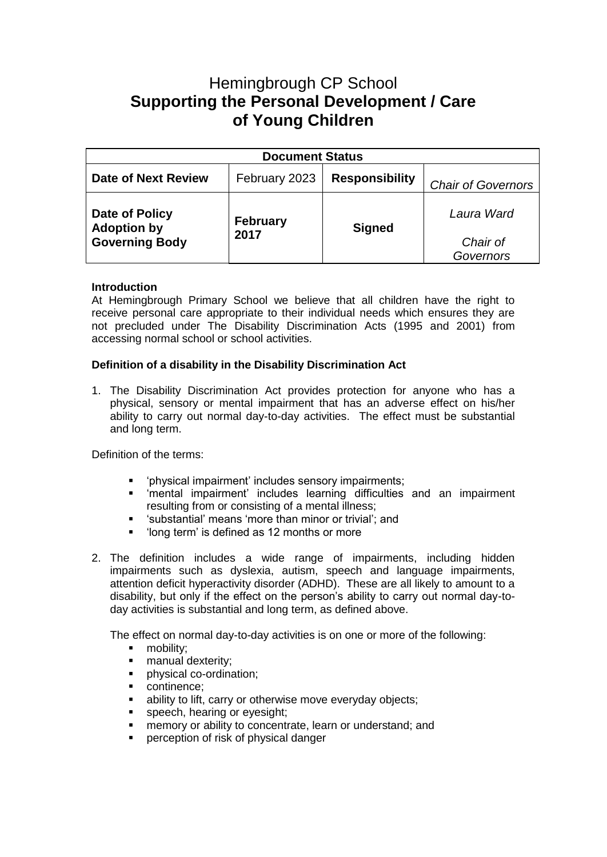# Hemingbrough CP School **Supporting the Personal Development / Care of Young Children**

| <b>Document Status</b>                                        |                         |                       |                           |
|---------------------------------------------------------------|-------------------------|-----------------------|---------------------------|
| Date of Next Review                                           | February 2023           | <b>Responsibility</b> | <b>Chair of Governors</b> |
| Date of Policy<br><b>Adoption by</b><br><b>Governing Body</b> | <b>February</b><br>2017 | <b>Signed</b>         | Laura Ward                |
|                                                               |                         |                       | Chair of<br>Governors     |

## **Introduction**

At Hemingbrough Primary School we believe that all children have the right to receive personal care appropriate to their individual needs which ensures they are not precluded under The Disability Discrimination Acts (1995 and 2001) from accessing normal school or school activities.

## **Definition of a disability in the Disability Discrimination Act**

1. The Disability Discrimination Act provides protection for anyone who has a physical, sensory or mental impairment that has an adverse effect on his/her ability to carry out normal day-to-day activities. The effect must be substantial and long term.

Definition of the terms:

- 'physical impairment' includes sensory impairments;
- 'mental impairment' includes learning difficulties and an impairment resulting from or consisting of a mental illness;
- 'substantial' means 'more than minor or trivial'; and<br>■ 'long term' is defined as 12 months or more
- 'long term' is defined as 12 months or more
- 2. The definition includes a wide range of impairments, including hidden impairments such as dyslexia, autism, speech and language impairments, attention deficit hyperactivity disorder (ADHD). These are all likely to amount to a disability, but only if the effect on the person's ability to carry out normal day-today activities is substantial and long term, as defined above.

The effect on normal day-to-day activities is on one or more of the following:

- mobility;
- **■** manual dexterity;
- **·** physical co-ordination;
- continence:
- ability to lift, carry or otherwise move everyday objects;
- **•** speech, hearing or eyesight;
- **EXECT** memory or ability to concentrate, learn or understand; and
- perception of risk of physical danger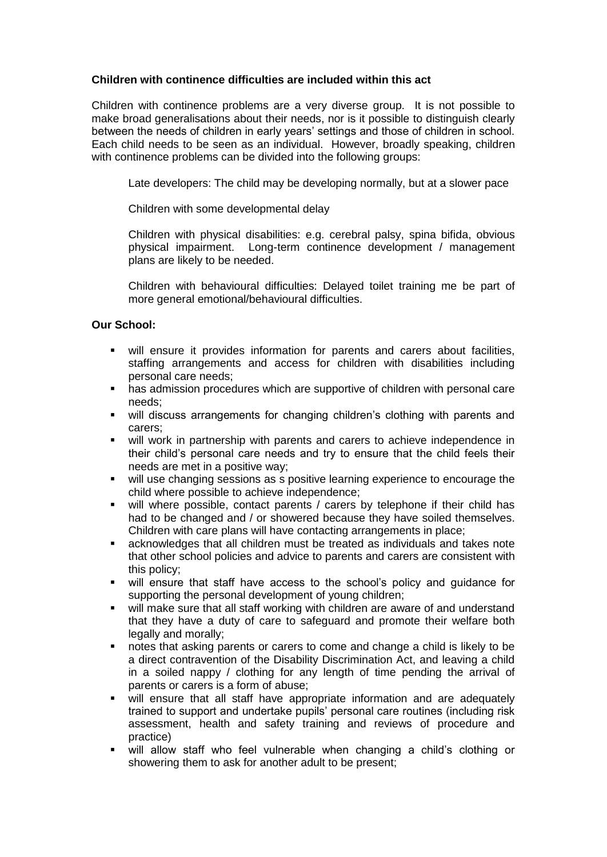## **Children with continence difficulties are included within this act**

Children with continence problems are a very diverse group. It is not possible to make broad generalisations about their needs, nor is it possible to distinguish clearly between the needs of children in early years' settings and those of children in school. Each child needs to be seen as an individual. However, broadly speaking, children with continence problems can be divided into the following groups:

Late developers: The child may be developing normally, but at a slower pace

Children with some developmental delay

Children with physical disabilities: e.g. cerebral palsy, spina bifida, obvious physical impairment. Long-term continence development / management plans are likely to be needed.

Children with behavioural difficulties: Delayed toilet training me be part of more general emotional/behavioural difficulties.

## **Our School:**

- will ensure it provides information for parents and carers about facilities, staffing arrangements and access for children with disabilities including personal care needs;
- has admission procedures which are supportive of children with personal care needs;
- will discuss arrangements for changing children's clothing with parents and carers;
- will work in partnership with parents and carers to achieve independence in their child's personal care needs and try to ensure that the child feels their needs are met in a positive way;
- will use changing sessions as s positive learning experience to encourage the child where possible to achieve independence;
- will where possible, contact parents / carers by telephone if their child has had to be changed and / or showered because they have soiled themselves. Children with care plans will have contacting arrangements in place;
- acknowledges that all children must be treated as individuals and takes note that other school policies and advice to parents and carers are consistent with this policy;
- will ensure that staff have access to the school's policy and guidance for supporting the personal development of young children;
- will make sure that all staff working with children are aware of and understand that they have a duty of care to safeguard and promote their welfare both legally and morally;
- notes that asking parents or carers to come and change a child is likely to be a direct contravention of the Disability Discrimination Act, and leaving a child in a soiled nappy / clothing for any length of time pending the arrival of parents or carers is a form of abuse;
- will ensure that all staff have appropriate information and are adequately trained to support and undertake pupils' personal care routines (including risk assessment, health and safety training and reviews of procedure and practice)
- will allow staff who feel vulnerable when changing a child's clothing or showering them to ask for another adult to be present;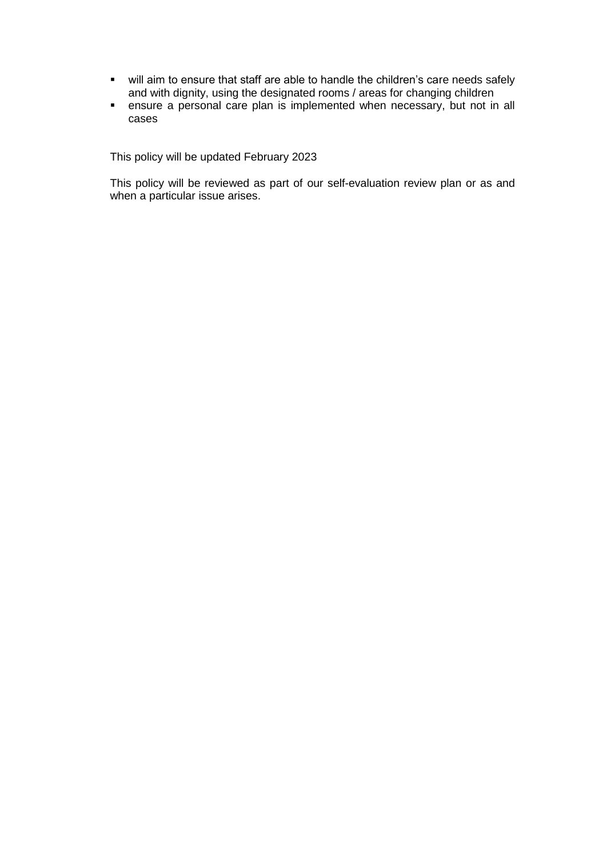- will aim to ensure that staff are able to handle the children's care needs safely and with dignity, using the designated rooms / areas for changing children
- **EXE** ensure a personal care plan is implemented when necessary, but not in all cases

This policy will be updated February 2023

This policy will be reviewed as part of our self-evaluation review plan or as and when a particular issue arises.